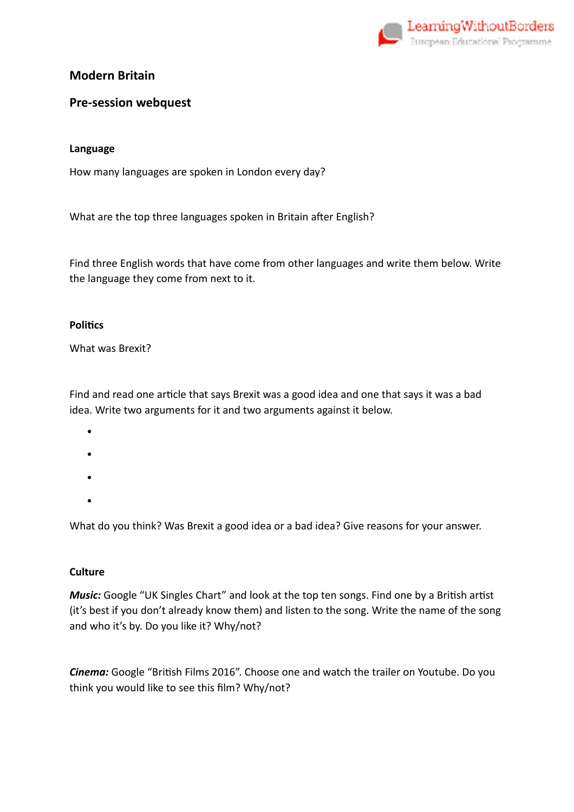

# **Modern Britain**

# **Pre-session webquest**

### **Language**

How many languages are spoken in London every day?

What are the top three languages spoken in Britain after English?

Find three English words that have come from other languages and write them below. Write the language they come from next to it.

### **Politics**

What was Brexit?

Find and read one article that says Brexit was a good idea and one that says it was a bad idea. Write two arguments for it and two arguments against it below.

- •
- •
- •
- •

What do you think? Was Brexit a good idea or a bad idea? Give reasons for your answer.

### **Culture**

*Music:* Google "UK Singles Chart" and look at the top ten songs. Find one by a British artist (it's best if you don't already know them) and listen to the song. Write the name of the song and who it's by. Do you like it? Why/not?

**Cinema:** Google "British Films 2016". Choose one and watch the trailer on Youtube. Do you think you would like to see this film? Why/not?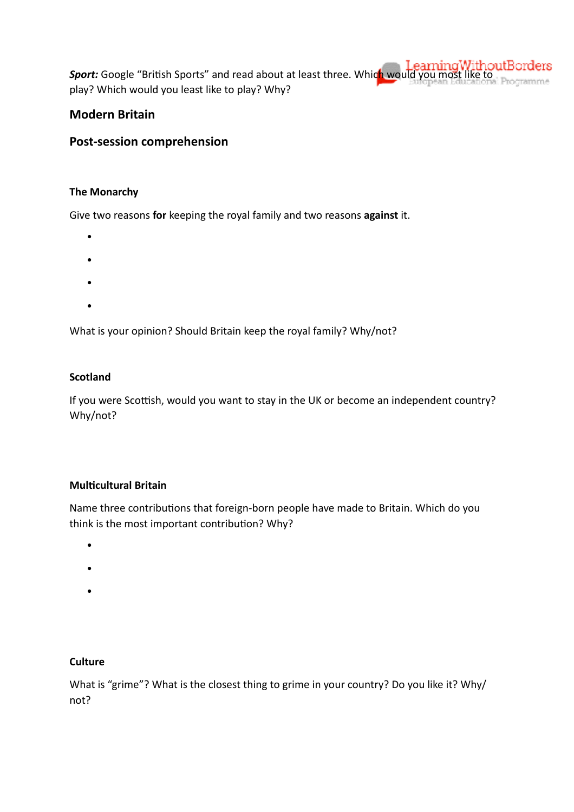**Sport:** Google "British Sports" and read about at least three. Which would you most like to play? Which would you least like to play? Why?

# **Modern Britain**

# **Post-session comprehension**

### **The Monarchy**

Give two reasons **for** keeping the royal family and two reasons **against** it.

- -
- •
- •
- •

What is your opinion? Should Britain keep the royal family? Why/not?

### **Scotland**

If you were Scottish, would you want to stay in the UK or become an independent country? Why/not?

### **Multicultural Britain**

Name three contributions that foreign-born people have made to Britain. Which do you think is the most important contribution? Why?

- •
- 
- •
- •

### **Culture**

What is "grime"? What is the closest thing to grime in your country? Do you like it? Why/ not?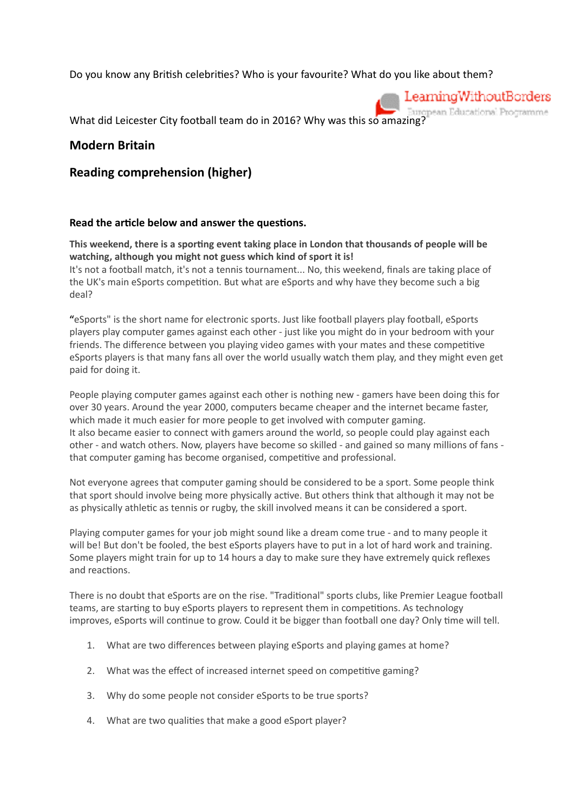Do you know any British celebrities? Who is your favourite? What do you like about them?



What did Leicester City football team do in 2016? Why was this so amazing?

### **Modern Britain**

### **Reading comprehension (higher)**

#### Read the article below and answer the questions.

This weekend, there is a sporting event taking place in London that thousands of people will be **watching, although you might not guess which kind of sport it is!**  It's not a football match, it's not a tennis tournament... No, this weekend, finals are taking place of the UK's main eSports competition. But what are eSports and why have they become such a big deal?

**"**eSports" is the short name for electronic sports. Just like football players play football, eSports players play computer games against each other - just like you might do in your bedroom with your friends. The difference between you playing video games with your mates and these competitive eSports players is that many fans all over the world usually watch them play, and they might even get paid for doing it.

People playing computer games against each other is nothing new - gamers have been doing this for over 30 years. Around the year 2000, computers became cheaper and the internet became faster, which made it much easier for more people to get involved with computer gaming. It also became easier to connect with gamers around the world, so people could play against each other - and watch others. Now, players have become so skilled - and gained so many millions of fans that computer gaming has become organised, competitive and professional.

Not everyone agrees that computer gaming should be considered to be a sport. Some people think that sport should involve being more physically active. But others think that although it may not be as physically athletic as tennis or rugby, the skill involved means it can be considered a sport.

Playing computer games for your job might sound like a dream come true - and to many people it will be! But don't be fooled, the best eSports players have to put in a lot of hard work and training. Some players might train for up to 14 hours a day to make sure they have extremely quick reflexes and reactions.

There is no doubt that eSports are on the rise. "Traditional" sports clubs, like Premier League football teams, are starting to buy eSports players to represent them in competitions. As technology improves, eSports will continue to grow. Could it be bigger than football one day? Only time will tell.

- 1. What are two differences between playing eSports and playing games at home?
- 2. What was the effect of increased internet speed on competitive gaming?
- 3. Why do some people not consider eSports to be true sports?
- 4. What are two qualities that make a good eSport player?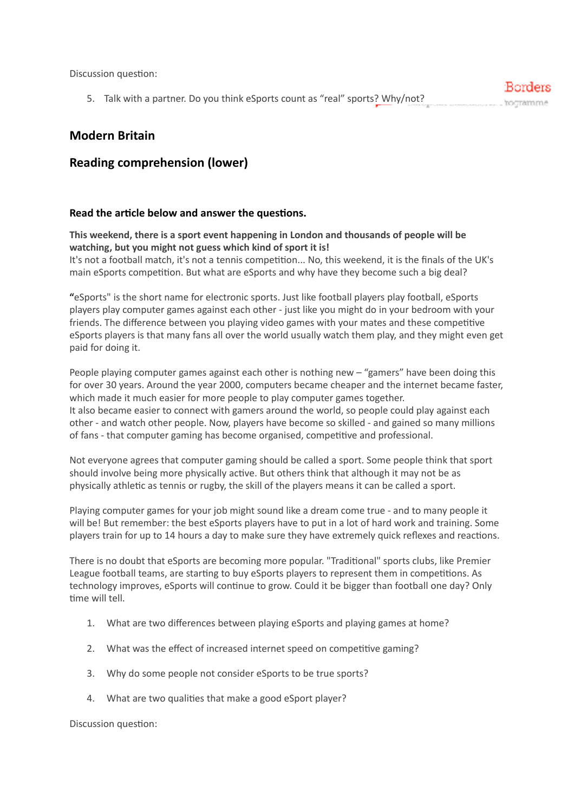Discussion question:

5. Talk with a partner. Do you think eSports count as "real" sports? Why/not?

## **Modern Britain**

# **Reading comprehension (lower)**

#### Read the article below and answer the questions.

**This weekend, there is a sport event happening in London and thousands of people will be watching, but you might not guess which kind of sport it is!**  It's not a football match, it's not a tennis competition... No, this weekend, it is the finals of the UK's main eSports competition. But what are eSports and why have they become such a big deal?

**"**eSports" is the short name for electronic sports. Just like football players play football, eSports players play computer games against each other - just like you might do in your bedroom with your friends. The difference between you playing video games with your mates and these competitive eSports players is that many fans all over the world usually watch them play, and they might even get paid for doing it.

People playing computer games against each other is nothing new – "gamers" have been doing this for over 30 years. Around the year 2000, computers became cheaper and the internet became faster, which made it much easier for more people to play computer games together. It also became easier to connect with gamers around the world, so people could play against each other - and watch other people. Now, players have become so skilled - and gained so many millions of fans - that computer gaming has become organised, competitive and professional.

Not everyone agrees that computer gaming should be called a sport. Some people think that sport should involve being more physically active. But others think that although it may not be as physically athletic as tennis or rugby, the skill of the players means it can be called a sport.

Playing computer games for your job might sound like a dream come true - and to many people it will be! But remember: the best eSports players have to put in a lot of hard work and training. Some players train for up to 14 hours a day to make sure they have extremely quick reflexes and reactions.

There is no doubt that eSports are becoming more popular. "Traditional" sports clubs, like Premier League football teams, are starting to buy eSports players to represent them in competitions. As technology improves, eSports will continue to grow. Could it be bigger than football one day? Only time will tell.

- 1. What are two differences between playing eSports and playing games at home?
- 2. What was the effect of increased internet speed on competitive gaming?
- 3. Why do some people not consider eSports to be true sports?
- 4. What are two qualities that make a good eSport player?

Discussion question:

:Borders hocramme